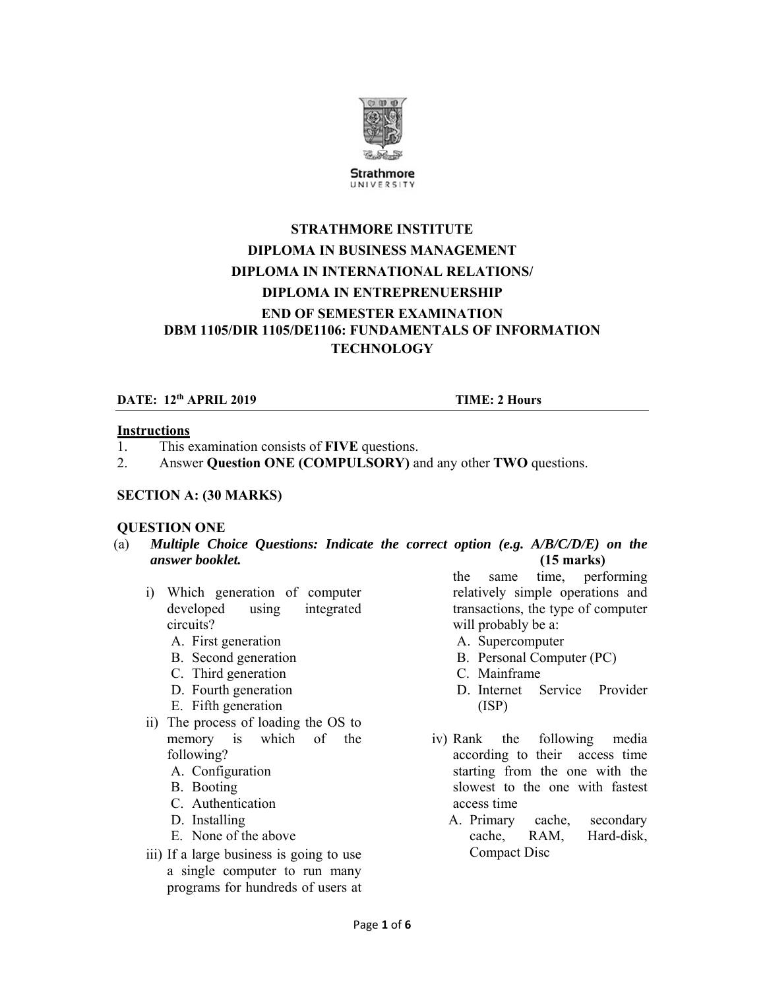

UNIVERSITY

# **STRATHMORE INSTITUTE DIPLOMA IN BUSINESS MANAGEMENT DIPLOMA IN INTERNATIONAL RELATIONS/ DIPLOMA IN ENTREPRENUERSHIP END OF SEMESTER EXAMINATION DBM 1105/DIR 1105/DE1106: FUNDAMENTALS OF INFORMATION TECHNOLOGY**

## **DATE:** 12<sup>th</sup> APRIL 2019 **TIME:** 2 Hours

### **Instructions**

- 1. This examination consists of **FIVE** questions.
- 2. Answer **Question ONE (COMPULSORY)** and any other **TWO** questions.

#### **SECTION A: (30 MARKS)**

### **QUESTION ONE**

- (a) *Multiple Choice Questions: Indicate the correct option (e.g. A/B/C/D/E) on the answer booklet.* **(15 marks)**
	- i) Which generation of computer developed using integrated circuits?
		- A. First generation
		- B. Second generation
		- C. Third generation
		- D. Fourth generation
		- E. Fifth generation
	- ii) The process of loading the OS to memory is which of the following?
		- A. Configuration
		- B. Booting
		- C. Authentication
		- D. Installing
		- E. None of the above
	- iii) If a large business is going to use a single computer to run many programs for hundreds of users at

the same time, performing relatively simple operations and transactions, the type of computer will probably be a:

- A. Supercomputer
- B. Personal Computer (PC)
- C. Mainframe
- D. Internet Service Provider (ISP)
- iv) Rank the following media according to their access time starting from the one with the slowest to the one with fastest access time
	- A. Primary cache, secondary cache, RAM, Hard-disk, Compact Disc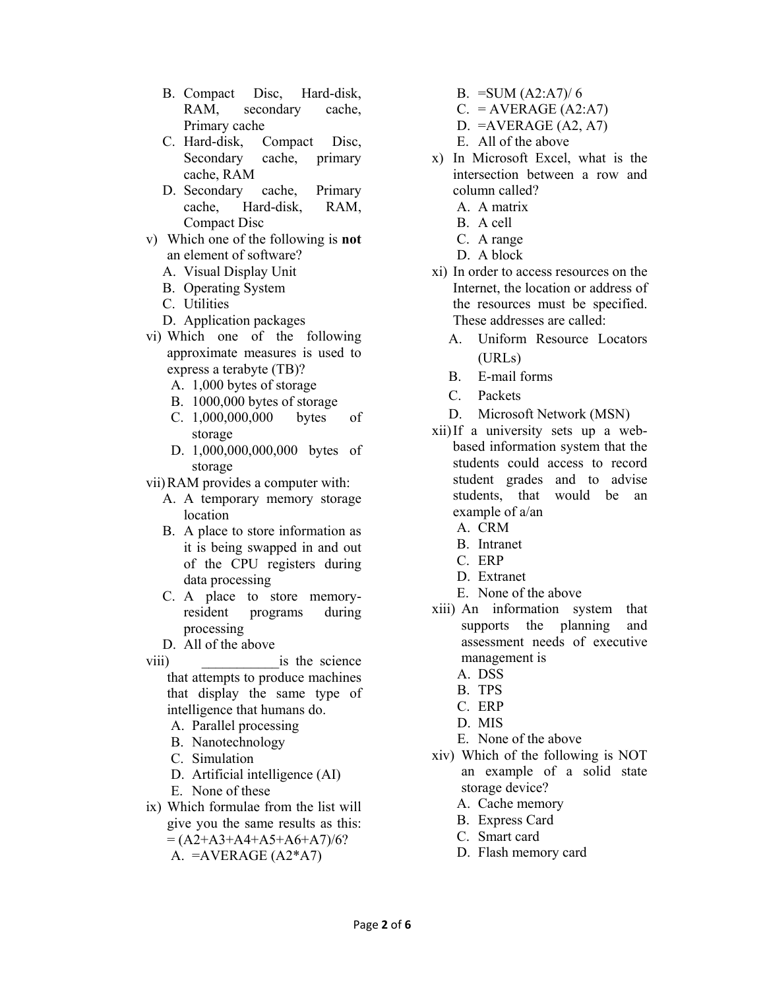- B. Compact Disc, Hard-disk, RAM, secondary cache, Primary cache
- C. Hard-disk, Compact Disc, Secondary cache, primary cache, RAM
- D. Secondary cache, Primary cache, Hard-disk, RAM, Compact Disc
- v) Which one of the following is **not** an element of software?
	- A. Visual Display Unit
	- B. Operating System
	- C. Utilities
	- D. Application packages
- vi) Which one of the following approximate measures is used to express a terabyte (TB)?
	- A. 1,000 bytes of storage
	- B. 1000,000 bytes of storage
	- C. 1,000,000,000 bytes of storage
	- D. 1,000,000,000,000 bytes of storage
- vii)RAM provides a computer with:
	- A. A temporary memory storage location
	- B. A place to store information as it is being swapped in and out of the CPU registers during data processing
	- C. A place to store memoryresident programs during processing
	- D. All of the above
- viii) is the science that attempts to produce machines that display the same type of intelligence that humans do.
	- A. Parallel processing
	- B. Nanotechnology
	- C. Simulation
	- D. Artificial intelligence (AI)
	- E. None of these
- ix) Which formulae from the list will give you the same results as this:  $=(A2+A3+A4+A5+A6+A7)/6?$ 
	- A.  $=$ AVERAGE (A2\*A7)
- B. = SUM  $(A2:A7)/6$
- $C. = AVERAGE (A2:A7)$
- $D. = AVERAGE (A2, A7)$
- E. All of the above
- x) In Microsoft Excel, what is the intersection between a row and column called?
	- A. A matrix
	- B. A cell
	- C. A range
	- D. A block
- xi) In order to access resources on the Internet, the location or address of the resources must be specified. These addresses are called:
	- A. Uniform Resource Locators (URLs)
	- B. E-mail forms
	- C. Packets
	- D. Microsoft Network (MSN)
- xii)If a university sets up a webbased information system that the students could access to record student grades and to advise students, that would be an example of a/an
	- A. CRM
	- B. Intranet
	- C. ERP
	- D. Extranet
	- E. None of the above
- xiii) An information system that supports the planning and assessment needs of executive management is
	- A. DSS
	- B. TPS
	- C. ERP
	- D. MIS
	- E. None of the above
- xiv) Which of the following is NOT an example of a solid state storage device?
	- A. Cache memory
	- B. Express Card
	- C. Smart card
	- D. Flash memory card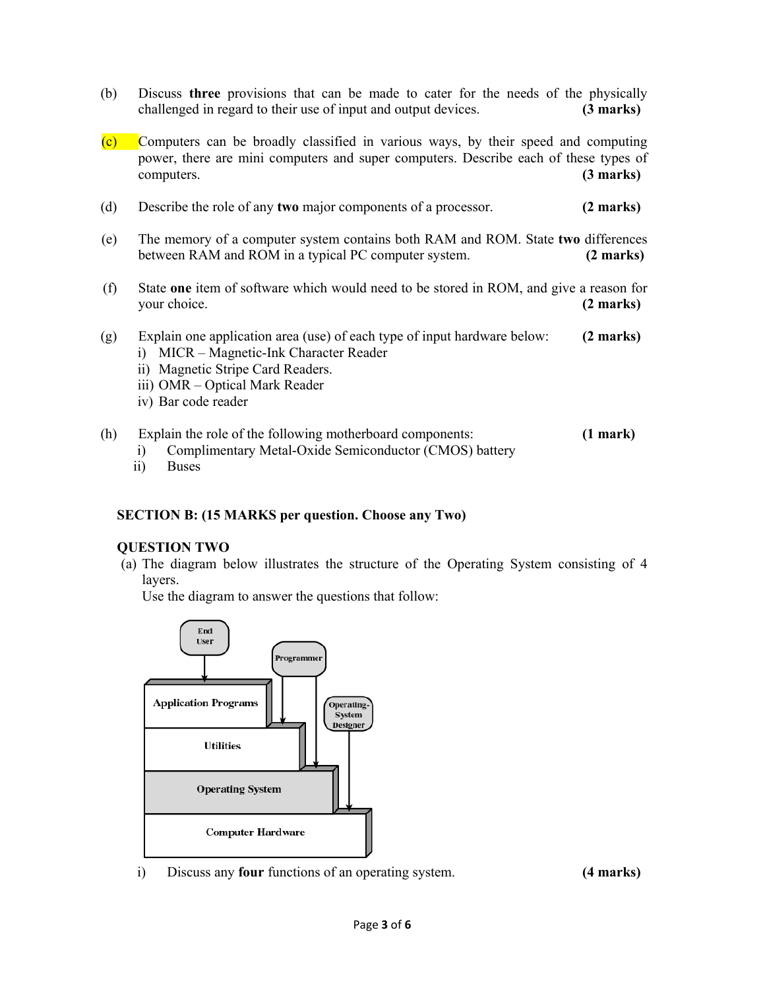- (b) Discuss **three** provisions that can be made to cater for the needs of the physically challenged in regard to their use of input and output devices. **(3 marks)**
- (c) Computers can be broadly classified in various ways, by their speed and computing power, there are mini computers and super computers. Describe each of these types of computers. **(3 marks)**
- (d) Describe the role of any **two** major components of a processor. **(2 marks)**
- (e) The memory of a computer system contains both RAM and ROM. State **two** differences between RAM and ROM in a typical PC computer system. **(2 marks)**
- (f) State **one** item of software which would need to be stored in ROM, and give a reason for your choice. **(2 marks)**
- (g) Explain one application area (use) of each type of input hardware below: **(2 marks)**
	- i) MICR Magnetic-Ink Character Reader
	- ii) Magnetic Stripe Card Readers.
	- iii) OMR Optical Mark Reader
	- iv) Bar code reader
- (h) Explain the role of the following motherboard components: **(1 mark)**
	- i) Complimentary Metal-Oxide Semiconductor (CMOS) battery
	- ii) Buses

### **SECTION B: (15 MARKS per question. Choose any Two)**

### **QUESTION TWO**

(a) The diagram below illustrates the structure of the Operating System consisting of 4 layers.

Use the diagram to answer the questions that follow:



i) Discuss any **four** functions of an operating system. **(4 marks)**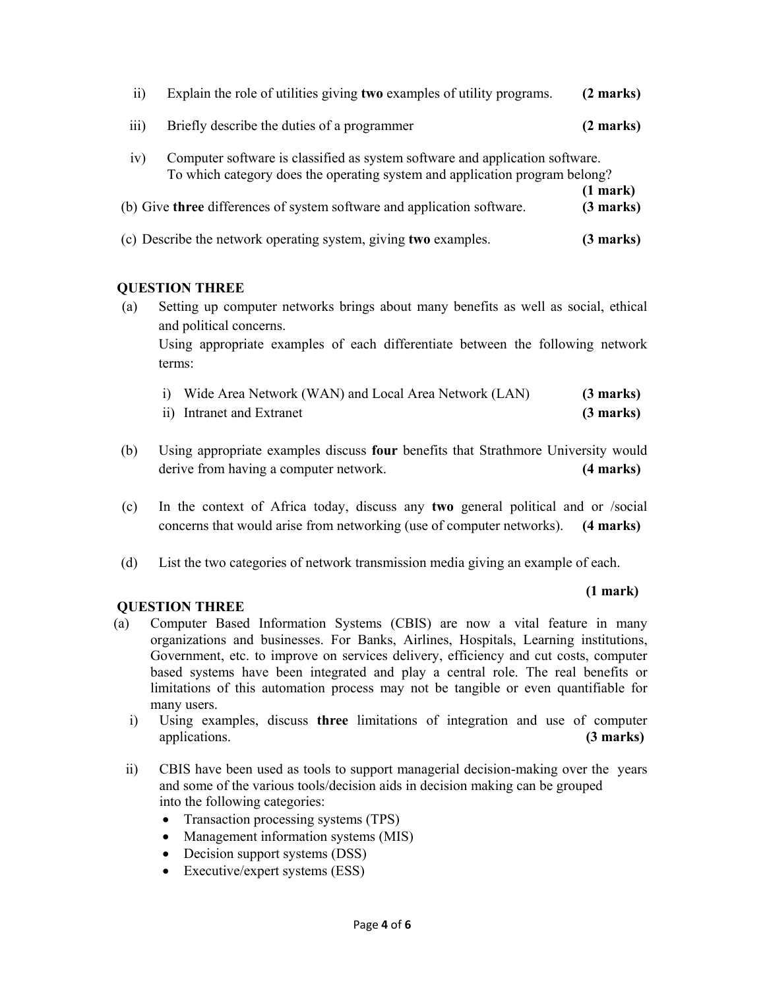| 11)              | Explain the role of utilities giving two examples of utility programs.                                                                                      |                            |  |
|------------------|-------------------------------------------------------------------------------------------------------------------------------------------------------------|----------------------------|--|
| $\overline{iii}$ | Briefly describe the duties of a programmer                                                                                                                 | (2 marks)                  |  |
| iv)              | Computer software is classified as system software and application software.<br>To which category does the operating system and application program belong? |                            |  |
|                  | (b) Give three differences of system software and application software.                                                                                     | $(1$ mark $)$<br>(3 marks) |  |
|                  | (c) Describe the network operating system, giving two examples.                                                                                             | (3 marks)                  |  |

# **QUESTION THREE**

(a) Setting up computer networks brings about many benefits as well as social, ethical and political concerns. Using appropriate examples of each differentiate between the following network terms:

| i) Wide Area Network (WAN) and Local Area Network (LAN) | $(3 \text{ marks})$ |
|---------------------------------------------------------|---------------------|
| ii) Intranet and Extranet                               | $(3 \text{ marks})$ |

- (b) Using appropriate examples discuss **four** benefits that Strathmore University would derive from having a computer network. **(4 marks)**
- (c) In the context of Africa today, discuss any **two** general political and or /social concerns that would arise from networking (use of computer networks). **(4 marks)**
- (d) List the two categories of network transmission media giving an example of each.

### **(1 mark)**

# **QUESTION THREE**

- (a) Computer Based Information Systems (CBIS) are now a vital feature in many organizations and businesses. For Banks, Airlines, Hospitals, Learning institutions, Government, etc. to improve on services delivery, efficiency and cut costs, computer based systems have been integrated and play a central role. The real benefits or limitations of this automation process may not be tangible or even quantifiable for many users.
	- i) Using examples, discuss **three** limitations of integration and use of computer applications. **(3 marks)**
	- ii) CBIS have been used as tools to support managerial decision-making over the years and some of the various tools/decision aids in decision making can be grouped into the following categories:
		- Transaction processing systems (TPS)
		- Management information systems (MIS)
		- Decision support systems (DSS)
		- Executive/expert systems (ESS)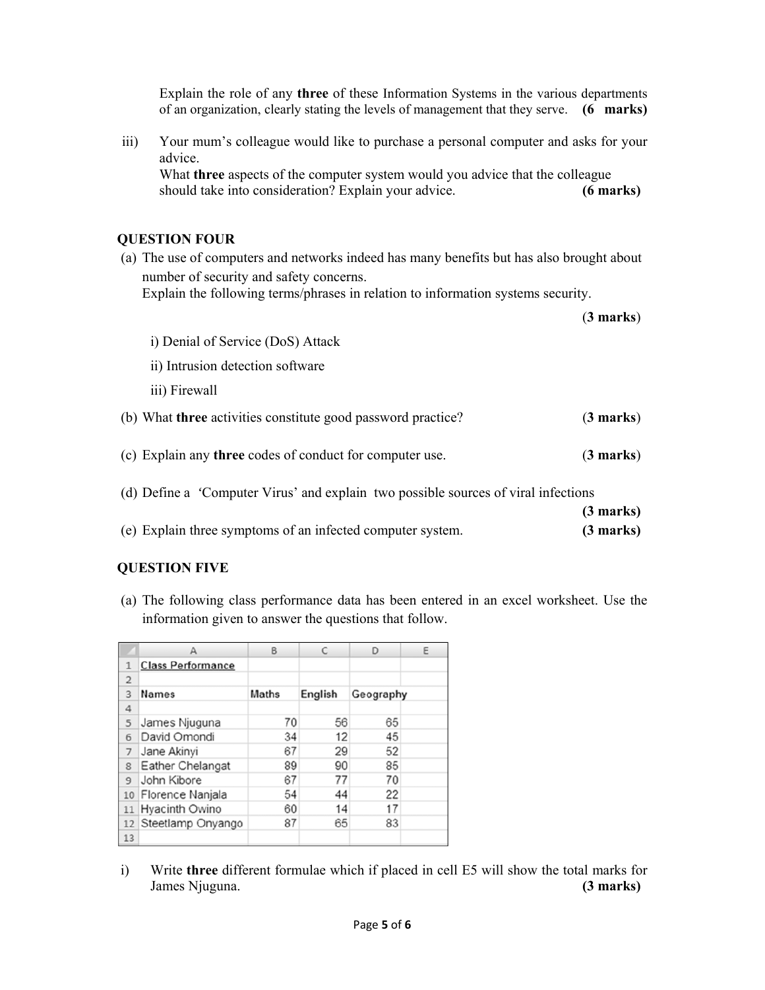Explain the role of any **three** of these Information Systems in the various departments of an organization, clearly stating the levels of management that they serve. **(6 marks)**

iii) Your mum's colleague would like to purchase a personal computer and asks for your advice.

What **three** aspects of the computer system would you advice that the colleague should take into consideration? Explain your advice. **(6 marks)**

## **QUESTION FOUR**

(a) The use of computers and networks indeed has many benefits but has also brought about number of security and safety concerns.

Explain the following terms/phrases in relation to information systems security.

|                                                                                    | $(3 \text{ marks})$ |
|------------------------------------------------------------------------------------|---------------------|
| i) Denial of Service (DoS) Attack                                                  |                     |
| ii) Intrusion detection software                                                   |                     |
| iii) Firewall                                                                      |                     |
| (b) What three activities constitute good password practice?                       | $(3 \text{ marks})$ |
| (c) Explain any three codes of conduct for computer use.                           | $(3 \text{ marks})$ |
| (d) Define a 'Computer Virus' and explain two possible sources of viral infections |                     |
|                                                                                    | $(3 \text{ marks})$ |
| (e) Explain three symptoms of an infected computer system.                         | (3 marks)           |

# **QUESTION FIVE**

(a) The following class performance data has been entered in an excel worksheet. Use the information given to answer the questions that follow.

|                | А                        | B            |         | D         | Ε |
|----------------|--------------------------|--------------|---------|-----------|---|
|                | <b>Class Performance</b> |              |         |           |   |
| $\overline{2}$ |                          |              |         |           |   |
| 3              | <b>Names</b>             | <b>Maths</b> | English | Geography |   |
| 4              |                          |              |         |           |   |
| 5              | James Njuguna            | 70           | 56      | 65        |   |
| 6              | David Omondi             | 34           | 12      | 45        |   |
| 7              | Jane Akinyi              | 67           | 29      | 52        |   |
| 8              | Eather Chelangat         | 89           | 90      | 85        |   |
| $\overline{9}$ | John Kibore              | 67           | 77      | 70        |   |
| 10             | Florence Nanjala         | 54           | 44      | 22        |   |
| 11             | Hyacinth Owino           | 60           | 14      | 17        |   |
| 12             | Steetlamp Onyango        | 87           | 65      | 83        |   |
| 13             |                          |              |         |           |   |

i) Write **three** different formulae which if placed in cell E5 will show the total marks for James Njuguna. **(3 marks)**